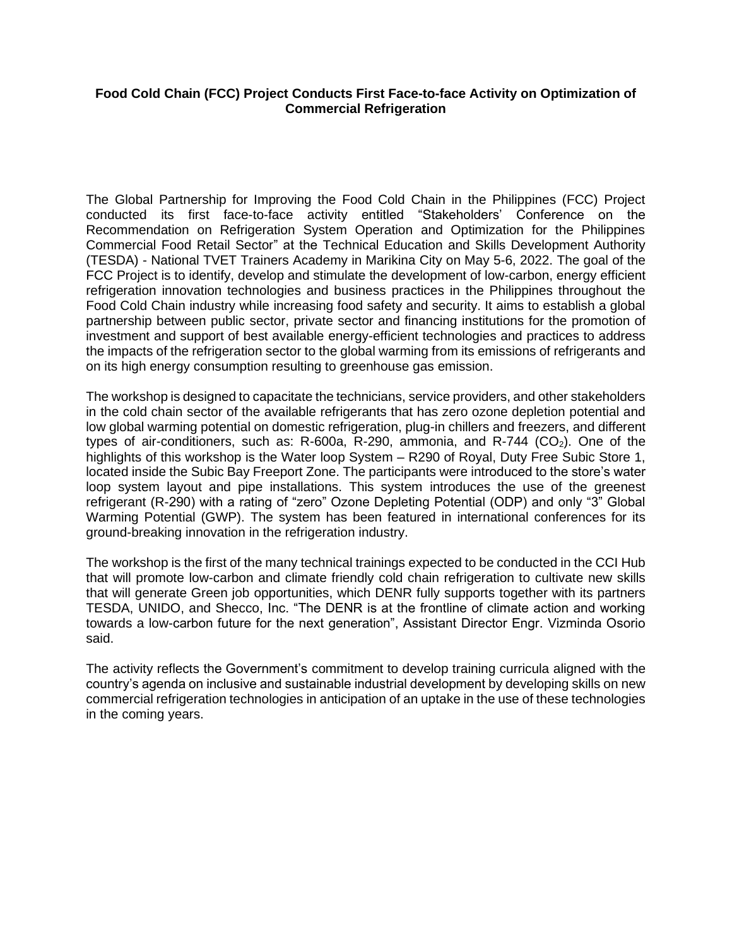## **Food Cold Chain (FCC) Project Conducts First Face-to-face Activity on Optimization of Commercial Refrigeration**

The Global Partnership for Improving the Food Cold Chain in the Philippines (FCC) Project conducted its first face-to-face activity entitled "Stakeholders' Conference on the Recommendation on Refrigeration System Operation and Optimization for the Philippines Commercial Food Retail Sector" at the Technical Education and Skills Development Authority (TESDA) - National TVET Trainers Academy in Marikina City on May 5-6, 2022. The goal of the FCC Project is to identify, develop and stimulate the development of low-carbon, energy efficient refrigeration innovation technologies and business practices in the Philippines throughout the Food Cold Chain industry while increasing food safety and security. It aims to establish a global partnership between public sector, private sector and financing institutions for the promotion of investment and support of best available energy-efficient technologies and practices to address the impacts of the refrigeration sector to the global warming from its emissions of refrigerants and on its high energy consumption resulting to greenhouse gas emission.

The workshop is designed to capacitate the technicians, service providers, and other stakeholders in the cold chain sector of the available refrigerants that has zero ozone depletion potential and low global warming potential on domestic refrigeration, plug-in chillers and freezers, and different types of air-conditioners, such as: R-600a, R-290, ammonia, and R-744  $(CO<sub>2</sub>)$ . One of the highlights of this workshop is the Water loop System – R290 of Royal, Duty Free Subic Store 1, located inside the Subic Bay Freeport Zone. The participants were introduced to the store's water loop system layout and pipe installations. This system introduces the use of the greenest refrigerant (R-290) with a rating of "zero" Ozone Depleting Potential (ODP) and only "3" Global Warming Potential (GWP). The system has been featured in international conferences for its ground-breaking innovation in the refrigeration industry.

The workshop is the first of the many technical trainings expected to be conducted in the CCI Hub that will promote low-carbon and climate friendly cold chain refrigeration to cultivate new skills that will generate Green job opportunities, which DENR fully supports together with its partners TESDA, UNIDO, and Shecco, Inc. "The DENR is at the frontline of climate action and working towards a low-carbon future for the next generation", Assistant Director Engr. Vizminda Osorio said.

The activity reflects the Government's commitment to develop training curricula aligned with the country's agenda on inclusive and sustainable industrial development by developing skills on new commercial refrigeration technologies in anticipation of an uptake in the use of these technologies in the coming years.